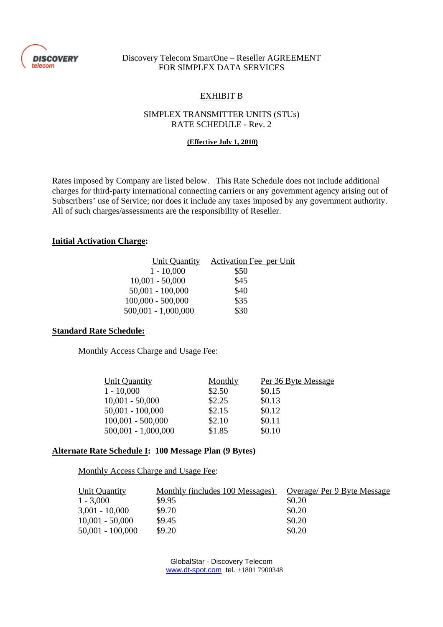

## Discovery Telecom SmartOne – Reseller AGREEMENT FOR SIMPLEX DATA SERVICES

# EXHIBIT B

## SIMPLEX TRANSMITTER UNITS (STUs) RATE SCHEDULE - Rev. 2

#### **(Effective July 1, 2010)**

Rates imposed by Company are listed below. This Rate Schedule does not include additional charges for third-party international connecting carriers or any government agency arising out of Subscribers' use of Service; nor does it include any taxes imposed by any government authority. All of such charges/assessments are the responsibility of Reseller.

## **Initial Activation Charge:**

| Unit Quantity         | Activation Fee per Unit |
|-----------------------|-------------------------|
| $1 - 10,000$          | \$50                    |
| $10,001 - 50,000$     | \$45                    |
| $50,001 - 100,000$    | \$40                    |
| $100,000 - 500,000$   | \$35                    |
| $500,001 - 1,000,000$ | \$30                    |

### **Standard Rate Schedule:**

Monthly Access Charge and Usage Fee:

| Unit Quantity         | Monthly | Per 36 Byte Message |
|-----------------------|---------|---------------------|
| $1 - 10,000$          | \$2.50  | \$0.15              |
| $10,001 - 50,000$     | \$2.25  | \$0.13              |
| $50,001 - 100,000$    | \$2.15  | \$0.12              |
| $100,001 - 500,000$   | \$2.10  | \$0.11              |
| $500,001 - 1,000,000$ | \$1.85  | \$0.10              |

### **Alternate Rate Schedule I: 100 Message Plan (9 Bytes)**

#### Monthly Access Charge and Usage Fee:

| Unit Quantity      | Monthly (includes 100 Messages) | Overage/Per 9 Byte Message |
|--------------------|---------------------------------|----------------------------|
| $1 - 3,000$        | \$9.95                          | \$0.20                     |
| $3,001 - 10,000$   | \$9.70                          | \$0.20                     |
| $10,001 - 50,000$  | \$9.45                          | \$0.20                     |
| $50,001 - 100,000$ | \$9.20                          | \$0.20                     |

GlobalStar - Discovery Telecom www.dt-spot.com tel. +1801 7900348